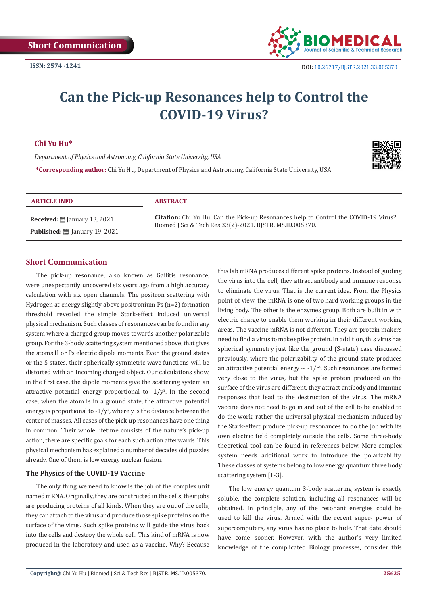

# **Can the Pick-up Resonances help to Control the COVID-19 Virus?**

# **Chi Yu Hu\***

*Department of Physics and Astronomy, California State University, USA*

**\*Corresponding author:** Chi Yu Hu, Department of Physics and Astronomy, California State University, USA



#### **ARTICLE INFO ABSTRACT**

**Received:** January 13, 2021 Published: **[201]** January 19, 2021

**Citation:** Chi Yu Hu. Can the Pick-up Resonances help to Control the COVID-19 Virus?. Biomed J Sci & Tech Res 33(2)-2021. BJSTR. MS.ID.005370.

## **Short Communication**

The pick-up resonance, also known as Gailitis resonance, were unexpectantly uncovered six years ago from a high accuracy calculation with six open channels. The positron scattering with Hydrogen at energy slightly above positronium Ps (n=2) formation threshold revealed the simple Stark-effect induced universal physical mechanism. Such classes of resonances can be found in any system where a charged group moves towards another polarizable group. For the 3-body scattering system mentioned above, that gives the atoms H or Ps electric dipole moments. Even the ground states or the S-states, their spherically symmetric wave functions will be distorted with an incoming charged object. Our calculations show, in the first case, the dipole moments give the scattering system an attractive potential energy proportional to  $-1/y^2$ . In the second case, when the atom is in a ground state, the attractive potential energy is proportional to - $1/y^4$ , where y is the distance between the center of masses. All cases of the pick-up resonances have one thing in common. Their whole lifetime consists of the nature's pick-up action, there are specific goals for each such action afterwards. This physical mechanism has explained a number of decades old puzzles already. One of them is low energy nuclear fusion.

#### **The Physics of the COVID-19 Vaccine**

The only thing we need to know is the job of the complex unit named mRNA. Originally, they are constructed in the cells, their jobs are producing proteins of all kinds. When they are out of the cells, they can attach to the virus and produce those spike proteins on the surface of the virus. Such spike proteins will guide the virus back into the cells and destroy the whole cell. This kind of mRNA is now produced in the laboratory and used as a vaccine. Why? Because this lab mRNA produces different spike proteins. Instead of guiding the virus into the cell, they attract antibody and immune response to eliminate the virus. That is the current idea. From the Physics point of view, the mRNA is one of two hard working groups in the living body. The other is the enzymes group. Both are built in with electric charge to enable them working in their different working areas. The vaccine mRNA is not different. They are protein makers need to find a virus to make spike protein. In addition, this virus has spherical symmetry just like the ground (S-state) case discussed previously, where the polarizability of the ground state produces an attractive potential energy ∼ -1/r<sup>4</sup>. Such resonances are formed very close to the virus, but the spike protein produced on the surface of the virus are different, they attract antibody and immune responses that lead to the destruction of the virus. The mRNA vaccine does not need to go in and out of the cell to be enabled to do the work, rather the universal physical mechanism induced by the Stark-effect produce pick-up resonances to do the job with its own electric field completely outside the cells. Some three-body theoretical tool can be found in references below. More complex system needs additional work to introduce the polarizability. These classes of systems belong to low energy quantum three body scattering system [1-3].

The low energy quantum 3-body scattering system is exactly soluble. the complete solution, including all resonances will be obtained. In principle, any of the resonant energies could be used to kill the virus. Armed with the recent super- power of supercomputers, any virus has no place to hide. That date should have come sooner. However, with the author's very limited knowledge of the complicated Biology processes, consider this